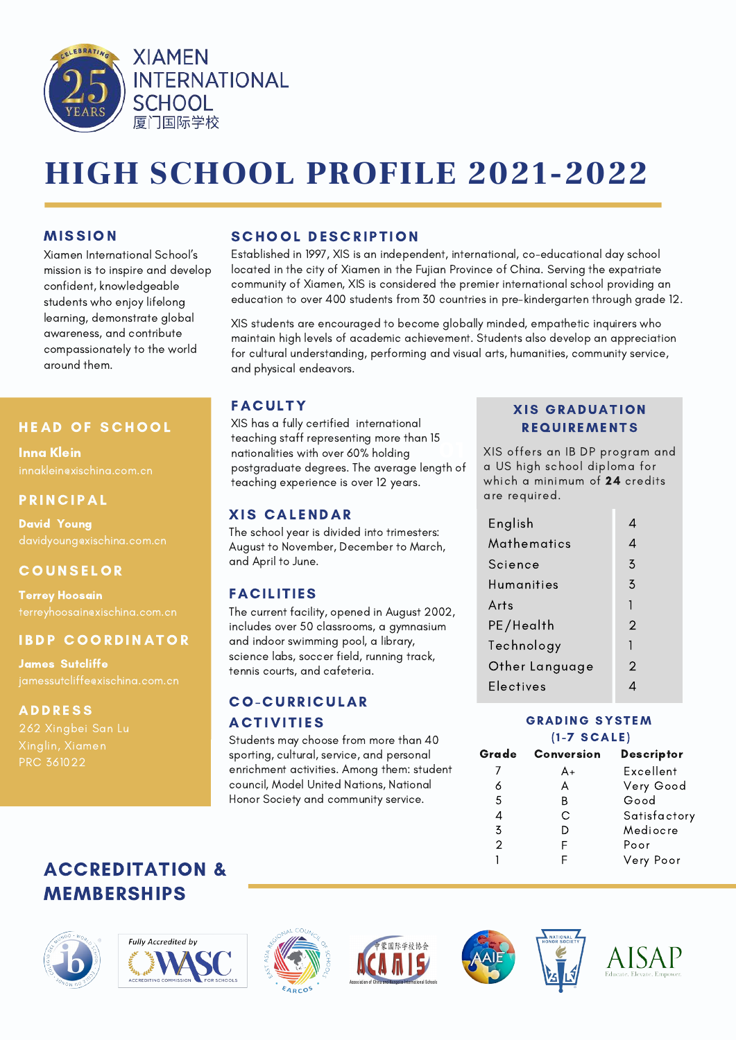

# HIGH SCHOOL PROFILE 2021-2022

## MISSION

Xiamen International School's mission is to inspire and develop confident, knowledgeable students who enjoy lifelong learning, demonstrate global awareness, and contribute compassionately to the world around them.

## **HEAD OF SCHOOL**

Inna Klein innaklein@xischina.com.cn

## **PRINCIPAL**

David Young

# **COUNSELOR**

Terrey Hoosain

# **IBDP COORDINATOR**

James Sutcliffe

#### **ADDRESS**

Xinglin, Xiamen

## **SCHOOL DESCRIPTION**

Established in 1997, XIS is an independent, international, co-educational day school located in the city of Xiamen in the Fujian Province of China. Serving the expatriate community of Xiamen, XIS is considered the premier international school providing an education to over 400 students from 30 countries in pre-kindergarten through grade 12.

XIS students are encouraged to become globally minded, empathetic inquirers who maintain high levels of academic achievement. Students also develop an appreciation for cultural understanding, performing and visual arts, humanities, community service, and physical endeavors.

# **FACULTY**

**01** XIS has a fully certified international teaching staff representing more than 15 nationalities with over 60% holding postgraduate degrees. The average length of teaching experience is over 12 years.

# **XIS CALENDAR**

The school year is divided into trimesters: August to November, December to March, and April to June.

# FACILITIES

The current facility, opened in August 2002, includes over 50 classrooms, a gymnasium and indoor swimming pool, a library, science labs, soccer field, running track, tennis courts, and cafeteria.

# **CO-CURRICULAR ACTIVITIES**

Students may choose from more than 40 sporting, cultural, service, and personal enrichment activities. Among them: student council, Model United Nations, National Honor Society and community service.

## **XIS GRADUATION REQUIREMENTS**

XIS offers an IB DP program and a US high school diploma for which a minimum of 24 credits are required.

| 4              |
|----------------|
| $\overline{5}$ |
| 3              |
| 1              |
| $\overline{2}$ |
| 1              |
| 2              |
|                |
|                |

#### **GRADING SYSTEM**  $(1 - 7 SCALE)$

| Grade          | Conversion | <b>Descriptor</b> |  |
|----------------|------------|-------------------|--|
|                | A+         | Excellent         |  |
| 6<br>А         |            | Very Good         |  |
| 5              | B          | Good              |  |
| 4              | С          | Satisfactory      |  |
| $\overline{5}$ |            | Mediocre          |  |
| $\mathcal{P}$  |            | Poor              |  |
|                |            | Very Poor         |  |
|                |            |                   |  |

# ACCREDITATION & MEMBERSHIPS













AISAP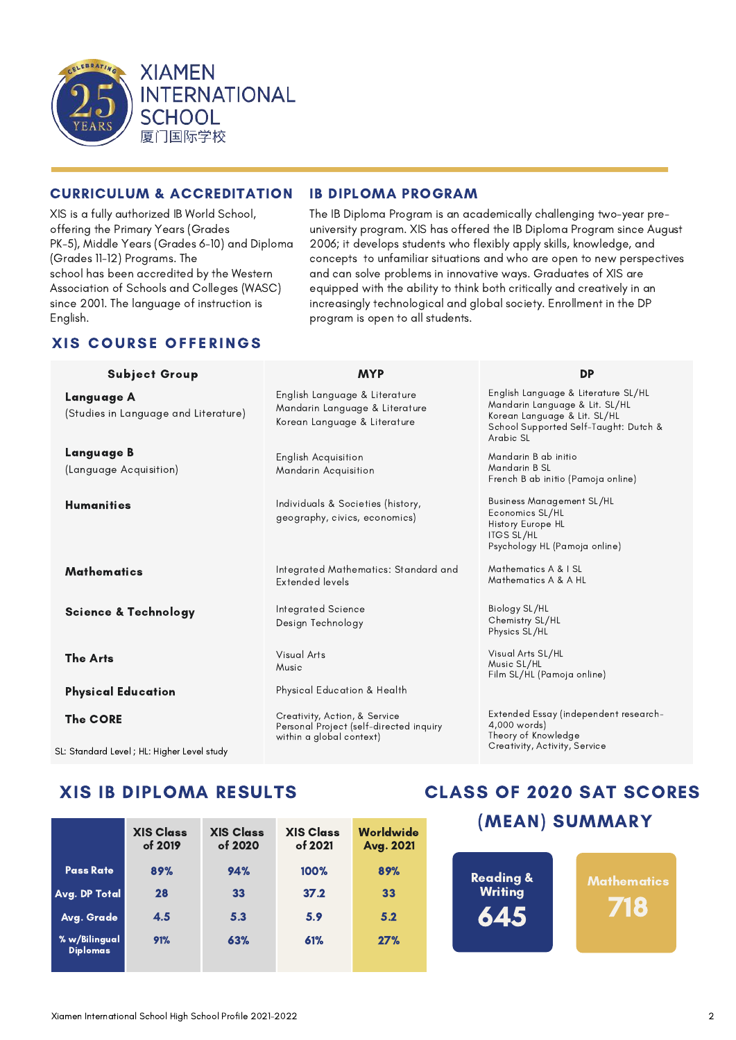

#### CURRICULUM & ACCREDITATION IB DIPLOMA PROGRAM

XIS is a fully authorized IB World School, offering the Primary Years (Grades PK-5), Middle Years (Grades 6-10) and Diploma (Grades 11-12) Programs. The school has been accredited by the Western Association of Schools and Colleges (WASC) since 2001. The language of instruction is English.

#### The IB Diploma Program is an academically challenging two-year preuniversity program. XIS has offered the IB Diploma Program since August 2006; it develops students who flexibly apply skills, knowledge, and concepts to unfamiliar situations and who are open to new perspectives and can solve problems in innovative ways. Graduates of XIS are equipped with the ability to think both critically and creatively in an increasingly technological and global society. Enrollment in the DP program is open to all students.

# **XIS COURSE OFFERINGS**

| <b>Subject Group</b>                                                                                                              | <b>MYP</b>                                                                                                                                                                                           | <b>DP</b>                                                                                                                                                   |  |
|-----------------------------------------------------------------------------------------------------------------------------------|------------------------------------------------------------------------------------------------------------------------------------------------------------------------------------------------------|-------------------------------------------------------------------------------------------------------------------------------------------------------------|--|
| Language A<br>(Studies in Language and Literature)                                                                                | English Language & Literature<br>Mandarin Language & Literature<br>Korean Language & Literature                                                                                                      | English Language & Literature SL/HL<br>Mandarin Language & Lit. SL/HL<br>Korean Language & Lit. SL/HL<br>School Supported Self-Taught: Dutch &<br>Arabic SL |  |
| Language B                                                                                                                        | <b>English Acquisition</b>                                                                                                                                                                           | Mandarin B ab initio                                                                                                                                        |  |
| (Language Acquisition)                                                                                                            | Mandarin Acquisition                                                                                                                                                                                 | Mandarin B SL<br>French B ab initio (Pamoja online)                                                                                                         |  |
| <b>Humanities</b>                                                                                                                 | <b>Business Management SL/HL</b><br>Individuals & Societies (history,<br>Economics SL/HL<br>geography, civics, economics)<br>History Europe HL<br><b>ITGS SL/HL</b><br>Psychology HL (Pamoja online) |                                                                                                                                                             |  |
| Mathematics                                                                                                                       | Integrated Mathematics: Standard and<br>Extended levels                                                                                                                                              | Mathematics A & I SL<br>Mathematics A & A HL                                                                                                                |  |
| <b>Science &amp; Technology</b>                                                                                                   | Integrated Science<br>Design Technology                                                                                                                                                              | Biology SL/HL<br>Chemistry SL/HL<br>Physics SL/HL                                                                                                           |  |
| <b>The Arts</b>                                                                                                                   | Visual Arts<br>Music                                                                                                                                                                                 | Visual Arts SL/HL<br>Music SL/HL<br>Film SL/HL (Pamoja online)                                                                                              |  |
| <b>Physical Education</b>                                                                                                         | Physical Education & Health                                                                                                                                                                          |                                                                                                                                                             |  |
| <b>The CORE</b><br>1. Oriental Holl and the first terms of the first terms of the first terms of the first terms of the first ter | Creativity, Action, & Service<br>Personal Project (self-directed inquiry<br>within a global context)                                                                                                 | Extended Essay (independent research-<br>4,000 words)<br>Theory of Knowledge<br>Creativity, Activity, Service                                               |  |

SL: Standard Level ; HL: Higher Level study

# XIS IB DIPLOMA RESULTS

|                                  | <b>XIS Class</b><br>of 2019 | <b>XIS Class</b><br>of 2020 | <b>XIS Class</b><br>of 2021 | Worldwide<br>Avg. 2021 |
|----------------------------------|-----------------------------|-----------------------------|-----------------------------|------------------------|
| <b>Pass Rate</b>                 | 89%                         | 94%                         | 100%                        | 89%                    |
| Avg. DP Total                    | 28                          | 33                          | 37.2                        | 33                     |
| Avg. Grade                       | 4.5                         | 5.3                         | 5.9                         | 5.2                    |
| % w/Bilingual<br><b>Diplomas</b> | 91%                         | 63%                         | 61%                         | 27%                    |

# CLASS OF 2020 SAT SCORES

# (MEAN) SUMMARY

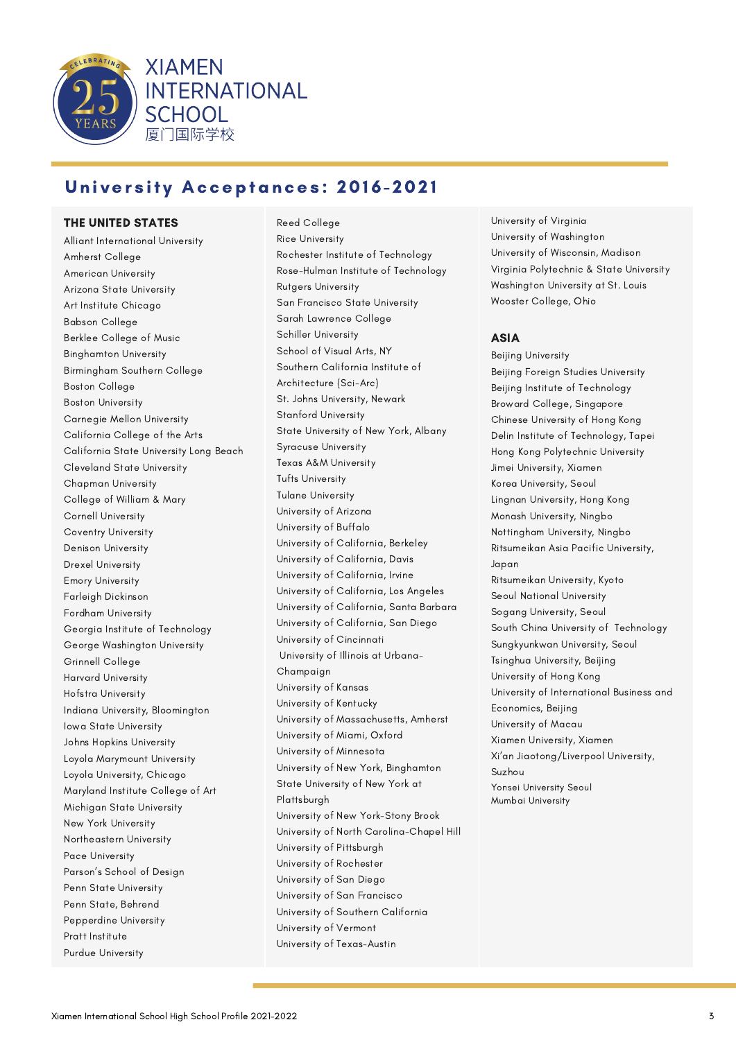

# University Acceptances: 2016-2021

**INTERNATIONAL** 

**XIAMEN** 

**SCHOOL** 厦门国际学校

#### THE UNITED STATES

Alliant International University Amherst College American University Arizona State University Art Institute Chicago Babson College Berklee College of Music Binghamton University Birmingham Southern College Boston College Boston University Carnegie Mellon University California College of the Arts California State University Long Beach Cleveland State University Chapman University College of William & Mary Cornell University Coventry University Denison University Drexel University Emory University Farleigh Dickinson Fordham University Georgia Institute of Technology George Washington University Grinnell College Harvard University Hofstra University Indiana University, Bloomington Iowa State University Johns Hopkins University Loyola Marymount University Loyola University, Chicago Maryland Institute College of Art Michigan State University New York University Northeastern University Pace University Parson's School of Design Penn State University Penn State, Behrend Pepperdine University Pratt Institute Purdue University

Reed College Rice University Rochester Institute of Technology Rose-Hulman Institute of Technology Rutgers University San Francisco State University Sarah Lawrence College Schiller University School of Visual Arts, NY Southern California Institute of Architecture (Sci-Arc) St. Johns University, Newark Stanford University State University of New York, Albany Syracuse University Texas A&M University Tufts University Tulane University University of Arizona University of Buffalo University of California, Berkeley University of California, Davis University of California, Irvine University of California, Los Angeles University of California, Santa Barbara University of California, San Diego University of Cincinnati University of Illinois at Urbana-Champaign University of Kansas University of Kentucky University of Massachusetts, Amherst University of Miami, Oxford University of Minnesota University of New York, Binghamton State University of New York at Plattsburgh University of New York-Stony Brook University of North Carolina-Chapel Hill University of Pittsburgh University of Rochester University of San Diego University of San Francisco University of Southern California University of Vermont University of Texas-Austin

University of Virginia University of Washington University of Wisconsin, Madison Virginia Polytechnic & State University Washington University at St. Louis Wooster College, Ohio

#### ASIA

Beijing University Beijing Foreign Studies University Beijing Institute of Technology Broward College, Singapore Chinese University of Hong Kong Delin Institute of Technology, Tapei Hong Kong Polytechnic University Jimei University, Xiamen Korea University, Seoul Lingnan University, Hong Kong Monash University, Ningbo Nottingham University, Ningbo Ritsumeikan Asia Pacific University, Japan Ritsumeikan University, Kyoto Seoul National University Sogang University, Seoul South China University of Technology Sungkyunkwan University, Seoul Tsinghua University, Beijing University of Hong Kong University of International Business and Economics, Beijing University of Macau Xiamen University, Xiamen Xi'an Jiaotong/Liverpool University, Suzhou Yonsei University Seoul Mumbai University